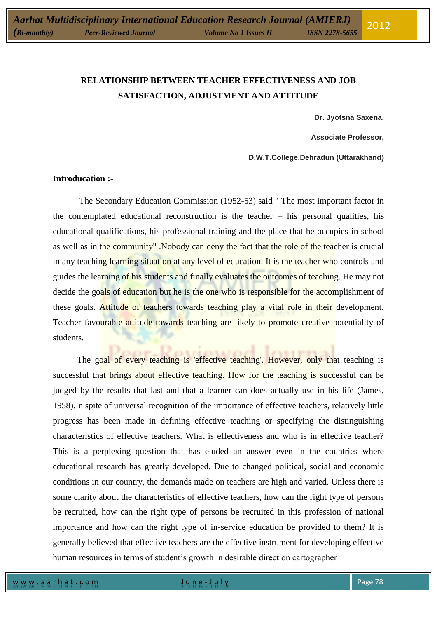# **RELATIONSHIP BETWEEN TEACHER EFFECTIVENESS AND JOB SATISFACTION, ADJUSTMENT AND ATTITUDE**

**Dr. Jyotsna Saxena,**

**Associate Professor,**

**D.W.T.College,Dehradun (Uttarakhand)**

## **Introducation :-**

The Secondary Education Commission (1952-53) said " The most important factor in the contemplated educational reconstruction is the teacher – his personal qualities, his educational qualifications, his professional training and the place that he occupies in school as well as in the community" .Nobody can deny the fact that the role of the teacher is crucial in any teaching learning situation at any level of education. It is the teacher who controls and guides the learning of his students and finally evaluates the outcomes of teaching. He may not decide the goals of education but he is the one who is responsible for the accomplishment of these goals. Attitude of teachers towards teaching play a vital role in their development. Teacher favourable attitude towards teaching are likely to promote creative potentiality of students.

The goal of every teaching is 'effective teaching'. However, only that teaching is successful that brings about effective teaching. How for the teaching is successful can be judged by the results that last and that a learner can does actually use in his life (James, 1958).In spite of universal recognition of the importance of effective teachers, relatively little progress has been made in defining effective teaching or specifying the distinguishing characteristics of effective teachers. What is effectiveness and who is in effective teacher? This is a perplexing question that has eluded an answer even in the countries where educational research has greatly developed. Due to changed political, social and economic conditions in our country, the demands made on teachers are high and varied. Unless there is some clarity about the characteristics of effective teachers, how can the right type of persons be recruited, how can the right type of persons be recruited in this profession of national importance and how can the right type of in-service education be provided to them? It is generally believed that effective teachers are the effective instrument for developing effective human resources in terms of student's growth in desirable direction cartographer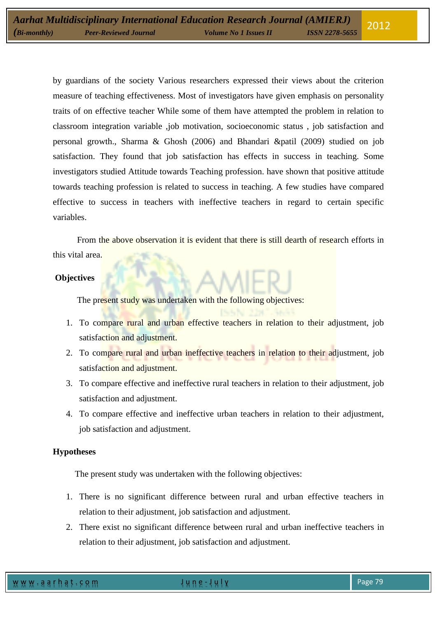by guardians of the society Various researchers expressed their views about the criterion measure of teaching effectiveness. Most of investigators have given emphasis on personality traits of on effective teacher While some of them have attempted the problem in relation to classroom integration variable ,job motivation, socioeconomic status , job satisfaction and personal growth., Sharma & Ghosh (2006) and Bhandari &patil (2009) studied on job satisfaction. They found that job satisfaction has effects in success in teaching. Some investigators studied Attitude towards Teaching profession. have shown that positive attitude towards teaching profession is related to success in teaching. A few studies have compared effective to success in teachers with ineffective teachers in regard to certain specific variables.

 From the above observation it is evident that there is still dearth of research efforts in this vital area.

## **Objectives**

The present study was undertaken with the following objectives:

- 1. To compare rural and urban effective teachers in relation to their adjustment, job satisfaction and adjustment.
- 2. To compare rural and urban ineffective teachers in relation to their adjustment, job satisfaction and adjustment.
- 3. To compare effective and ineffective rural teachers in relation to their adjustment, job satisfaction and adjustment.
- 4. To compare effective and ineffective urban teachers in relation to their adjustment, job satisfaction and adjustment.

#### **Hypotheses**

The present study was undertaken with the following objectives:

- 1. There is no significant difference between rural and urban effective teachers in relation to their adjustment, job satisfaction and adjustment.
- 2. There exist no significant difference between rural and urban ineffective teachers in relation to their adjustment, job satisfaction and adjustment.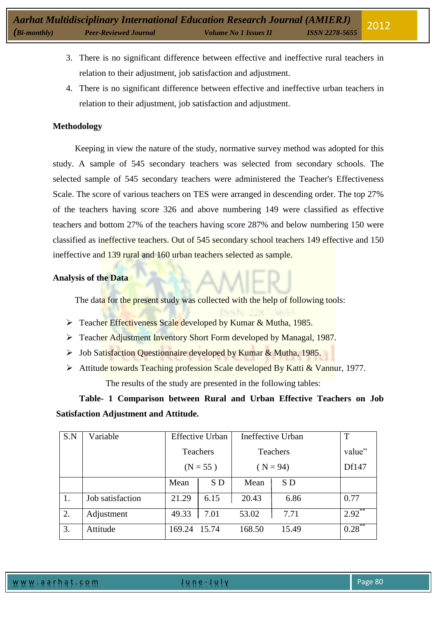- 3. There is no significant difference between effective and ineffective rural teachers in relation to their adjustment, job satisfaction and adjustment.
- 4. There is no significant difference between effective and ineffective urban teachers in relation to their adjustment, job satisfaction and adjustment.

# **Methodology**

Keeping in view the nature of the study, normative survey method was adopted for this study. A sample of 545 secondary teachers was selected from secondary schools. The selected sample of 545 secondary teachers were administered the Teacher's Effectiveness Scale. The score of various teachers on TES were arranged in descending order. The top 27% of the teachers having score 326 and above numbering 149 were classified as effective teachers and bottom 27% of the teachers having score 287% and below numbering 150 were classified as ineffective teachers. Out of 545 secondary school teachers 149 effective and 150 ineffective and 139 rural and 160 urban teachers selected as sample.

## **Analysis of the Data**

The data for the present study was collected with the help of following tools:

- ▶ Teacher Effectiveness Scale developed by Kumar & Mutha, 1985.
- Teacher Adjustment Inventory Short Form developed by Managal, 1987.
- > Job Satisfaction Questionnaire developed by Kumar & Mutha, 1985.
- Attitude towards Teaching profession Scale developed By Katti & Vannur, 1977.

The results of the study are presented in the following tables:

**Table- 1 Comparison between Rural and Urban Effective Teachers on Job Satisfaction Adjustment and Attitude.** 

| S.N | Variable         | <b>Effective Urban</b> |                 | Ineffective Urban |            | T         |
|-----|------------------|------------------------|-----------------|-------------------|------------|-----------|
|     |                  |                        | <b>Teachers</b> |                   | Teachers   | value"    |
|     |                  | $(N = 55)$             |                 |                   | $(N = 94)$ | Df147     |
|     |                  | Mean                   | S D             | Mean              | S D        |           |
|     | Job satisfaction | 21.29                  | 6.15            | 20.43             | 6.86       | 0.77      |
| 2.  | Adjustment       | 49.33                  | 7.01            | 53.02             | 7.71       | $2.92$ ** |
| 3.  | Attitude         | 169.24                 | 15.74           | 168.50            | 15.49      | 0.28      |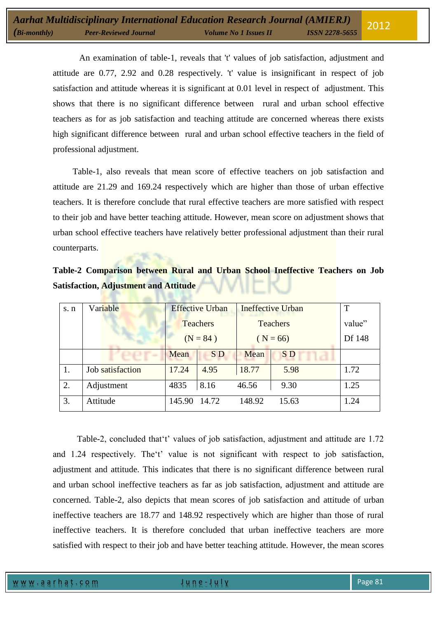An examination of table-1, reveals that 't' values of job satisfaction, adjustment and attitude are 0.77, 2.92 and 0.28 respectively. 't' value is insignificant in respect of job satisfaction and attitude whereas it is significant at 0.01 level in respect of adjustment. This shows that there is no significant difference between rural and urban school effective teachers as for as job satisfaction and teaching attitude are concerned whereas there exists high significant difference between rural and urban school effective teachers in the field of professional adjustment.

 Table-1, also reveals that mean score of effective teachers on job satisfaction and attitude are 21.29 and 169.24 respectively which are higher than those of urban effective teachers. It is therefore conclude that rural effective teachers are more satisfied with respect to their job and have better teaching attitude. However, mean score on adjustment shows that urban school effective teachers have relatively better professional adjustment than their rural counterparts.

| Table-2 Comparison between Rural and Urban School Ineffective Teachers on Job |  |  |  |  |  |
|-------------------------------------------------------------------------------|--|--|--|--|--|
| <b>Satisfaction, Adjustment and Attitude</b>                                  |  |  |  |  |  |

*KANSA LANGAR* 

| s. n | Variable         |              | <b>Effective Urban</b> | <b>Ineffective Urban</b> | T              |        |
|------|------------------|--------------|------------------------|--------------------------|----------------|--------|
|      |                  |              | <b>Teachers</b>        | <b>Teachers</b>          | value"         |        |
|      |                  | $(N = 84)$   |                        |                          | $(N = 66)$     | Df 148 |
|      | a se se prov     | Mean         | <b>SD</b>              | Mean                     | S <sub>D</sub> |        |
|      | Job satisfaction | 17.24        | 4.95                   | 18.77                    | 5.98           | 1.72   |
| 2.   | Adjustment       | 4835         | 8.16                   | 46.56                    | 9.30           | 1.25   |
| 3.   | Attitude         | 145.90 14.72 |                        | 148.92                   | 15.63          | 1.24   |

 Table-2, concluded that't' values of job satisfaction, adjustment and attitude are 1.72 and 1.24 respectively. The't' value is not significant with respect to job satisfaction, adjustment and attitude. This indicates that there is no significant difference between rural and urban school ineffective teachers as far as job satisfaction, adjustment and attitude are concerned. Table-2, also depicts that mean scores of job satisfaction and attitude of urban ineffective teachers are 18.77 and 148.92 respectively which are higher than those of rural ineffective teachers. It is therefore concluded that urban ineffective teachers are more satisfied with respect to their job and have better teaching attitude. However, the mean scores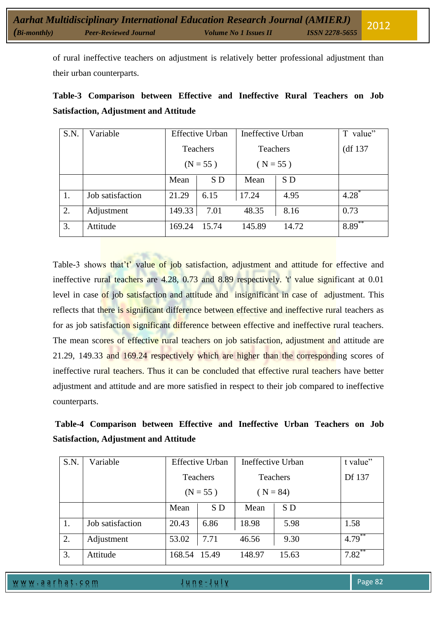of rural ineffective teachers on adjustment is relatively better professional adjustment than their urban counterparts.

|                                              | Table-3 Comparison between Effective and Ineffective Rural Teachers on Job |  |  |  |  |  |  |  |
|----------------------------------------------|----------------------------------------------------------------------------|--|--|--|--|--|--|--|
| <b>Satisfaction, Adjustment and Attitude</b> |                                                                            |  |  |  |  |  |  |  |

| S.N. | Variable         | <b>Effective Urban</b> |       | Ineffective Urban |       | T value"  |
|------|------------------|------------------------|-------|-------------------|-------|-----------|
|      |                  | Teachers               |       | <b>Teachers</b>   |       | (df 137)  |
|      |                  | $(N = 55)$             |       | $(N = 55)$        |       |           |
|      |                  | Mean                   | S D   | Mean              | S D   |           |
|      | Job satisfaction | 21.29                  | 6.15  | 17.24             | 4.95  | $4.28^*$  |
| 2.   | Adjustment       | 149.33                 | 7.01  | 48.35             | 8.16  | 0.73      |
| 3.   | Attitude         | 169.24                 | 15.74 | 145.89            | 14.72 | $8.89***$ |

Table-3 shows that't' value of job satisfaction, adjustment and attitude for effective and ineffective rural teachers are 4.28, 0.73 and 8.89 respectively. 't' value significant at 0.01 level in case of job satisfaction and attitude and insignificant in case of adjustment. This reflects that there is significant difference between effective and ineffective rural teachers as for as job satisfaction significant difference between effective and ineffective rural teachers. The mean scores of effective rural teachers on job satisfaction, adjustment and attitude are 21.29, 149.33 and 169.24 respectively which are higher than the corresponding scores of ineffective rural teachers. Thus it can be concluded that effective rural teachers have better adjustment and attitude and are more satisfied in respect to their job compared to ineffective counterparts.

| Table-4 Comparison between Effective and Ineffective Urban Teachers on Job |  |  |  |  |
|----------------------------------------------------------------------------|--|--|--|--|
| <b>Satisfaction, Adjustment and Attitude</b>                               |  |  |  |  |

| S.N. | Variable         |              | <b>Effective Urban</b> | Ineffective Urban | t value"   |           |
|------|------------------|--------------|------------------------|-------------------|------------|-----------|
|      |                  |              | <b>Teachers</b>        |                   | Teachers   | Df 137    |
|      |                  | $(N = 55)$   |                        |                   | $(N = 84)$ |           |
|      |                  | Mean         | S D                    | Mean              | S D        |           |
| 1.   | Job satisfaction | 20.43        | 6.86                   | 18.98             | 5.98       | 1.58      |
| 2.   | Adjustment       | 53.02        | 7.71                   | 46.56             | 9.30       | $4.79***$ |
| 3.   | Attitude         | 168.54 15.49 |                        | 148.97            | 15.63      | $7.82***$ |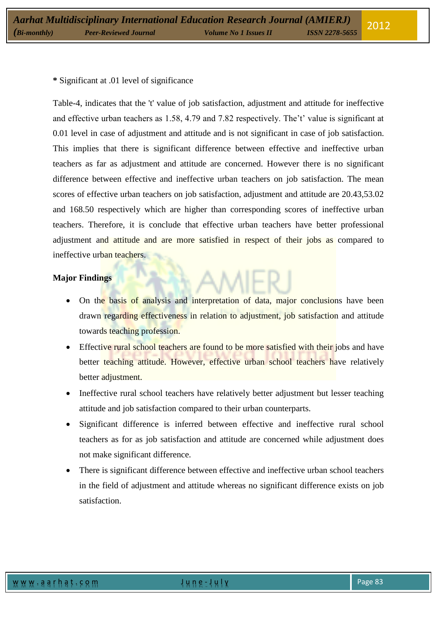# **\*** Significant at .01 level of significance

Table-4, indicates that the 't' value of job satisfaction, adjustment and attitude for ineffective and effective urban teachers as 1.58, 4.79 and 7.82 respectively. The't' value is significant at 0.01 level in case of adjustment and attitude and is not significant in case of job satisfaction. This implies that there is significant difference between effective and ineffective urban teachers as far as adjustment and attitude are concerned. However there is no significant difference between effective and ineffective urban teachers on job satisfaction. The mean scores of effective urban teachers on job satisfaction, adjustment and attitude are 20.43,53.02 and 168.50 respectively which are higher than corresponding scores of ineffective urban teachers. Therefore, it is conclude that effective urban teachers have better professional adjustment and attitude and are more satisfied in respect of their jobs as compared to ineffective urban teachers.

## **Major Findings**

- On the basis of analysis and interpretation of data, major conclusions have been drawn regarding effectiveness in relation to adjustment, job satisfaction and attitude towards teaching profession.
- Effective rural school teachers are found to be more satisfied with their jobs and have better teaching attitude. However, effective urban school teachers have relatively better adjustment.
- Ineffective rural school teachers have relatively better adjustment but lesser teaching attitude and job satisfaction compared to their urban counterparts.
- Significant difference is inferred between effective and ineffective rural school teachers as for as job satisfaction and attitude are concerned while adjustment does not make significant difference.
- There is significant difference between effective and ineffective urban school teachers in the field of adjustment and attitude whereas no significant difference exists on job satisfaction.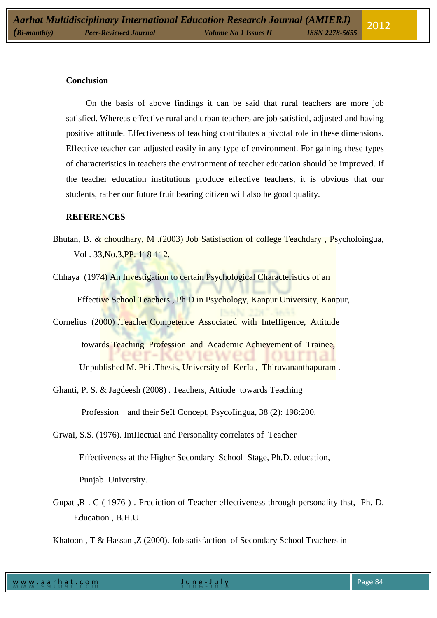#### **Conclusion**

 On the basis of above findings it can be said that rural teachers are more job satisfied. Whereas effective rural and urban teachers are job satisfied, adjusted and having positive attitude. Effectiveness of teaching contributes a pivotal role in these dimensions. Effective teacher can adjusted easily in any type of environment. For gaining these types of characteristics in teachers the environment of teacher education should be improved. If the teacher education institutions produce effective teachers, it is obvious that our students, rather our future fruit bearing citizen will also be good quality.

#### **REFERENCES**

- Bhutan, B. & choudhary, M .(2003) Job Satisfaction of college Teachdary , Psycholoingua, Vol . 33,No.3,PP. 118-112.
- Chhaya (1974) An Investigation to certain Psychological Characteristics of an Effective School Teachers , Ph.D in Psychology, Kanpur University, Kanpur,

Cornelius (2000) .Teacher Competence Associated with InteIIigence, Attitude towards Teaching Profession and Academic Achievement of Trainee, Unpublished M. Phi .Thesis, University of KerIa , Thiruvananthapuram .

Ghanti, P. S. & Jagdeesh (2008) . Teachers, Attiude towards Teaching

Profession and their SeIf Concept, PsycoIingua, 38 (2): 198:200.

- GrwaI, S.S. (1976). IntIIectuaI and Personality correlates of Teacher Effectiveness at the Higher Secondary School Stage, Ph.D. education, Punjab University.
- Gupat ,R . C ( 1976 ) . Prediction of Teacher effectiveness through personality thst, Ph. D. Education , B.H.U.

Khatoon , T & Hassan , Z (2000). Job satisfaction of Secondary School Teachers in